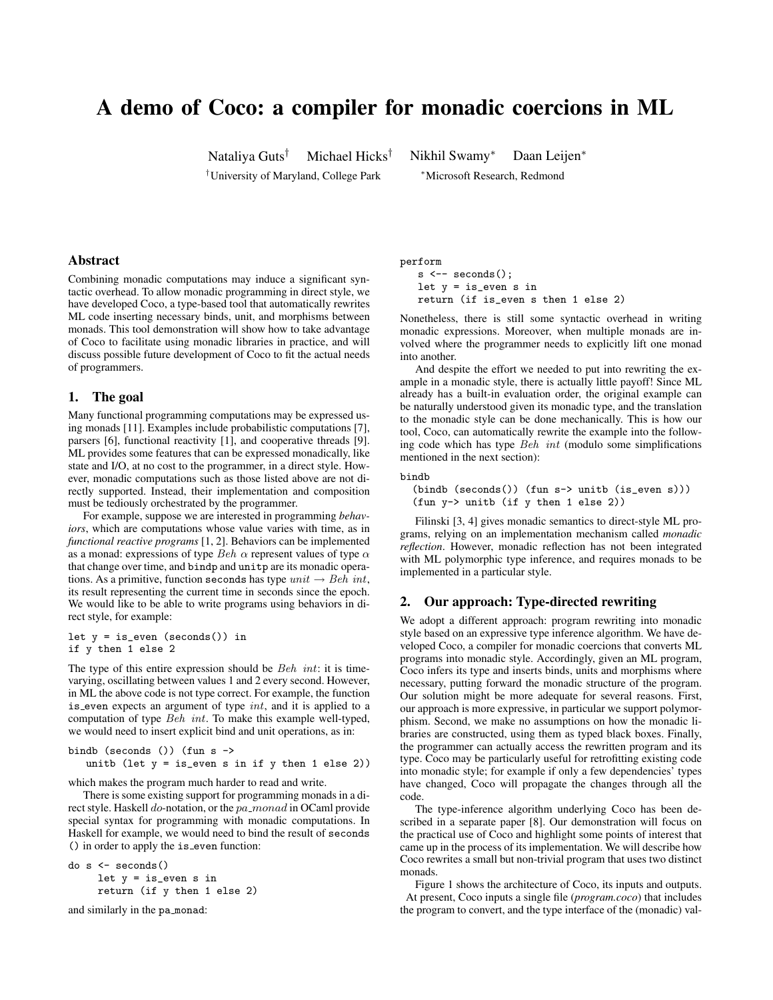# A demo of Coco: a compiler for monadic coercions in ML

Nataliya Guts† Michael Hicks† Nikhil Swamy<sup>∗</sup> Daan Leijen<sup>∗</sup>

†University of Maryland, College Park <sup>∗</sup>Microsoft Research, Redmond

#### Abstract

Combining monadic computations may induce a significant syntactic overhead. To allow monadic programming in direct style, we have developed Coco, a type-based tool that automatically rewrites ML code inserting necessary binds, unit, and morphisms between monads. This tool demonstration will show how to take advantage of Coco to facilitate using monadic libraries in practice, and will discuss possible future development of Coco to fit the actual needs of programmers.

#### 1. The goal

Many functional programming computations may be expressed using monads [11]. Examples include probabilistic computations [7], parsers [6], functional reactivity [1], and cooperative threads [9]. ML provides some features that can be expressed monadically, like state and I/O, at no cost to the programmer, in a direct style. However, monadic computations such as those listed above are not directly supported. Instead, their implementation and composition must be tediously orchestrated by the programmer.

For example, suppose we are interested in programming *behaviors*, which are computations whose value varies with time, as in *functional reactive programs* [1, 2]. Behaviors can be implemented as a monad: expressions of type Beh  $\alpha$  represent values of type  $\alpha$ that change over time, and bindp and unitp are its monadic operations. As a primitive, function seconds has type  $unit \rightarrow Beh$  int, its result representing the current time in seconds since the epoch. We would like to be able to write programs using behaviors in direct style, for example:

let  $y = is_{even} (seconds())$  in if y then 1 else 2

The type of this entire expression should be *Beh int*: it is timevarying, oscillating between values 1 and 2 every second. However, in ML the above code is not type correct. For example, the function is even expects an argument of type  $int$ , and it is applied to a computation of type Beh int. To make this example well-typed, we would need to insert explicit bind and unit operations, as in:

```
bindb (seconds ()) (fun s ->
unitb (let y = is_{even} s in if y then 1 else 2))
```
which makes the program much harder to read and write.

There is some existing support for programming monads in a direct style. Haskell do-notation, or the pa\_monad in OCaml provide special syntax for programming with monadic computations. In Haskell for example, we would need to bind the result of seconds () in order to apply the is\_even function:

```
do s <- seconds()
  let y = is_even s in
  return (if y then 1 else 2)
```
and similarly in the pa monad:

perform

 $s \leftarrow$  seconds $()$ : let y = is\_even s in return (if is\_even s then 1 else 2)

Nonetheless, there is still some syntactic overhead in writing monadic expressions. Moreover, when multiple monads are involved where the programmer needs to explicitly lift one monad into another.

And despite the effort we needed to put into rewriting the example in a monadic style, there is actually little payoff! Since ML already has a built-in evaluation order, the original example can be naturally understood given its monadic type, and the translation to the monadic style can be done mechanically. This is how our tool, Coco, can automatically rewrite the example into the following code which has type Beh int (modulo some simplifications mentioned in the next section):

### bindb

(bindb (seconds()) (fun s-> unitb (is\_even s))) (fun y-> unitb (if y then 1 else 2))

Filinski [3, 4] gives monadic semantics to direct-style ML programs, relying on an implementation mechanism called *monadic reflection*. However, monadic reflection has not been integrated with ML polymorphic type inference, and requires monads to be implemented in a particular style.

#### 2. Our approach: Type-directed rewriting

We adopt a different approach: program rewriting into monadic style based on an expressive type inference algorithm. We have developed Coco, a compiler for monadic coercions that converts ML programs into monadic style. Accordingly, given an ML program, Coco infers its type and inserts binds, units and morphisms where necessary, putting forward the monadic structure of the program. Our solution might be more adequate for several reasons. First, our approach is more expressive, in particular we support polymorphism. Second, we make no assumptions on how the monadic libraries are constructed, using them as typed black boxes. Finally, the programmer can actually access the rewritten program and its type. Coco may be particularly useful for retrofitting existing code into monadic style; for example if only a few dependencies' types have changed, Coco will propagate the changes through all the code.

The type-inference algorithm underlying Coco has been described in a separate paper [8]. Our demonstration will focus on the practical use of Coco and highlight some points of interest that came up in the process of its implementation. We will describe how Coco rewrites a small but non-trivial program that uses two distinct monads.

Figure 1 shows the architecture of Coco, its inputs and outputs. At present, Coco inputs a single file (*program.coco*) that includes the program to convert, and the type interface of the (monadic) val-